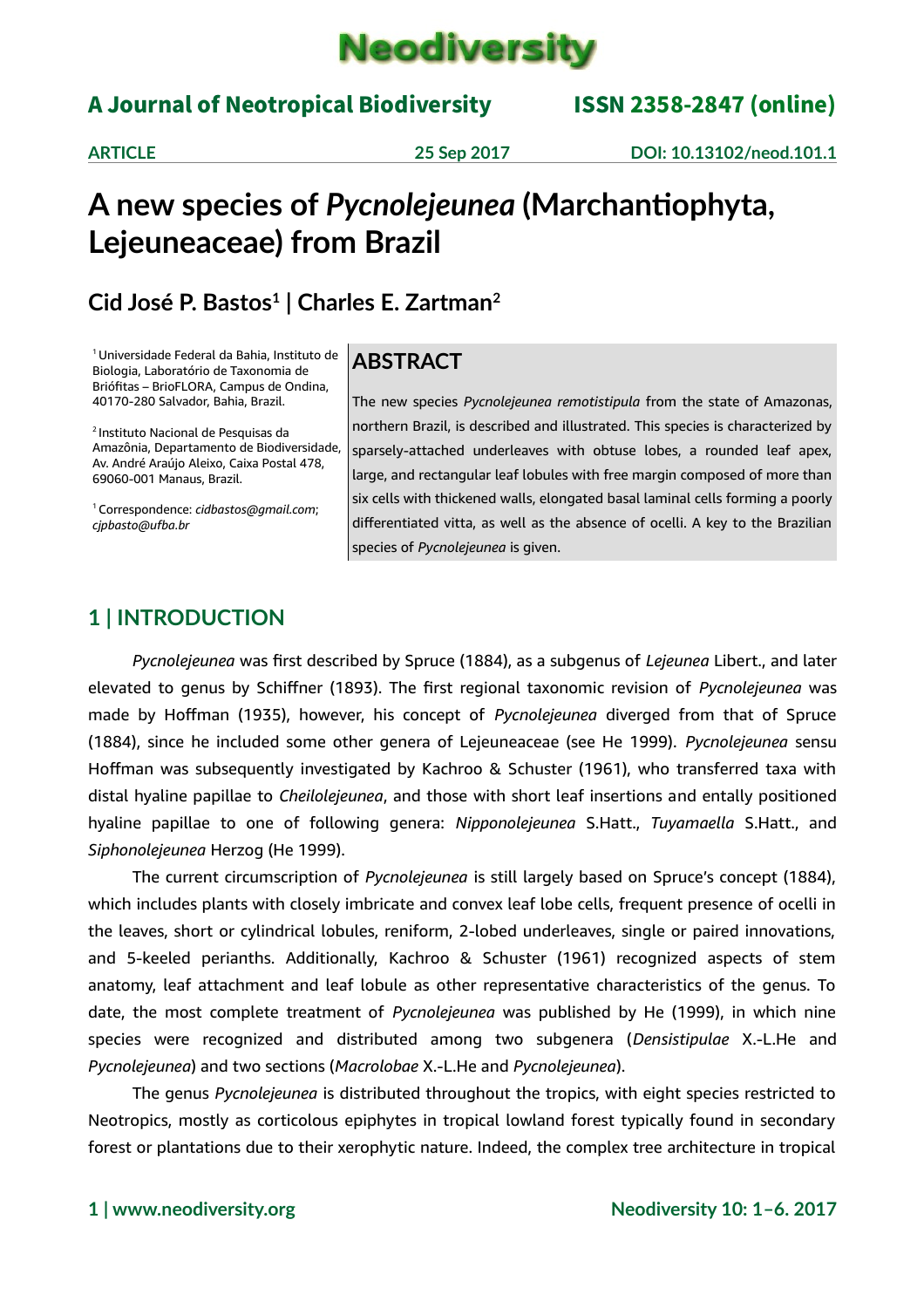

# A Journal of Neotropical Biodiversity ISSN 2358-2847 (online)

**ARTICLE 25 Sep 2017 DOI: 10.13102/neod.101.1**

# **A new species of** *Pycnolejeunea* **(Marchantiophyta, Lejeuneaceae) from Brazil**

# **Cid José P. Bastos<sup>1</sup> | Charles E. Zartman<sup>2</sup>**

<sup>1</sup>Universidade Federal da Bahia, Instituto de Biologia, Laboratório de Taxonomia de Briófitas – BrioFLORA, Campus de Ondina, 40170-280 Salvador, Bahia, Brazil.

<sup>2</sup>Instituto Nacional de Pesquisas da Amazônia, Departamento de Biodiversidade, Av. André Araújo Aleixo, Caixa Postal 478, 69060-001 Manaus, Brazil.

<sup>1</sup>Correspondence: *cidbastos@gmail.com*; *[cjpbasto@ufba.br](mailto:cjpbasto@ufba.br)*

## **ABSTRACT**

The new species *Pycnolejeunea remotistipula* from the state of Amazonas, northern Brazil, is described and illustrated. This species is characterized by sparsely-attached underleaves with obtuse lobes, a rounded leaf apex, large, and rectangular leaf lobules with free margin composed of more than six cells with thickened walls, elongated basal laminal cells forming a poorly differentiated vitta, as well as the absence of ocelli. A key to the Brazilian species of *Pycnolejeunea* is given.

# **1 | INTRODUCTION**

*Pycnolejeunea* was first described by Spruce (1884), as a subgenus of *Lejeunea* Libert., and later elevated to genus by Schiffner (1893). The first regional taxonomic revision of *Pycnolejeunea* was made by Hoffman (1935), however, his concept of *Pycnolejeunea* diverged from that of Spruce (1884), since he included some other genera of Lejeuneaceae (see He 1999). *Pycnolejeunea* sensu Hoffman was subsequently investigated by Kachroo & Schuster (1961), who transferred taxa with distal hyaline papillae to *Cheilolejeunea*, and those with short leaf insertions and entally positioned hyaline papillae to one of following genera: *Nipponolejeunea* S.Hatt., *Tuyamaella* S.Hatt., and *Siphonolejeunea* Herzog (He 1999).

The current circumscription of *Pycnolejeunea* is still largely based on Spruce's concept (1884), which includes plants with closely imbricate and convex leaf lobe cells, frequent presence of ocelli in the leaves, short or cylindrical lobules, reniform, 2-lobed underleaves, single or paired innovations, and 5-keeled perianths. Additionally, Kachroo & Schuster (1961) recognized aspects of stem anatomy, leaf attachment and leaf lobule as other representative characteristics of the genus. To date, the most complete treatment of *Pycnolejeunea* was published by He (1999), in which nine species were recognized and distributed among two subgenera (*Densistipulae* X.-L.He and *Pycnolejeunea*) and two sections (*Macrolobae* X.-L.He and *Pycnolejeunea*).

The genus *Pycnolejeunea* is distributed throughout the tropics, with eight species restricted to Neotropics, mostly as corticolous epiphytes in tropical lowland forest typically found in secondary forest or plantations due to their xerophytic nature. Indeed, the complex tree architecture in tropical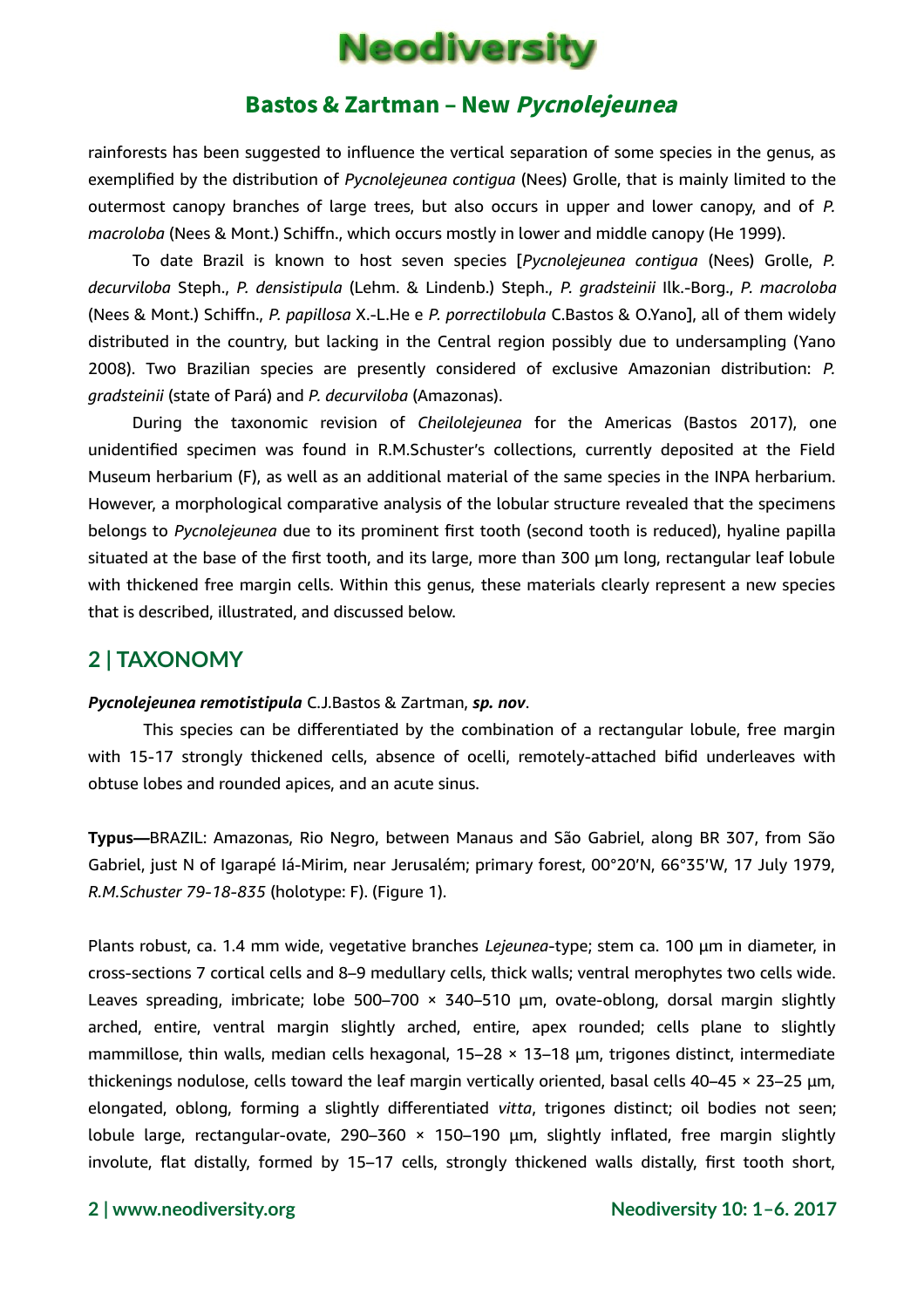

rainforests has been suggested to influence the vertical separation of some species in the genus, as exemplified by the distribution of *Pycnolejeunea contigua* (Nees) Grolle, that is mainly limited to the outermost canopy branches of large trees, but also occurs in upper and lower canopy, and of *P. macroloba* (Nees & Mont.) Schiffn., which occurs mostly in lower and middle canopy (He 1999).

To date Brazil is known to host seven species [*Pycnolejeunea contigua* (Nees) Grolle, *P. decurviloba* Steph., *P. densistipula* (Lehm. & Lindenb.) Steph., *P. gradsteinii* Ilk.-Borg., *P. macroloba* (Nees & Mont.) Schiffn., *P. papillosa* X.-L.He e *P. porrectilobula* C.Bastos & O.Yano], all of them widely distributed in the country, but lacking in the Central region possibly due to undersampling (Yano 2008). Two Brazilian species are presently considered of exclusive Amazonian distribution: *P. gradsteinii* (state of Pará) and *P. decurviloba* (Amazonas).

During the taxonomic revision of *Cheilolejeunea* for the Americas (Bastos 2017), one unidentified specimen was found in R.M.Schuster's collections, currently deposited at the Field Museum herbarium (F), as well as an additional material of the same species in the INPA herbarium. However, a morphological comparative analysis of the lobular structure revealed that the specimens belongs to *Pycnolejeunea* due to its prominent first tooth (second tooth is reduced), hyaline papilla situated at the base of the first tooth, and its large, more than 300 µm long, rectangular leaf lobule with thickened free margin cells. Within this genus, these materials clearly represent a new species that is described, illustrated, and discussed below.

## **2 | TAXONOMY**

#### *Pycnolejeunea remotistipula* C.J.Bastos & Zartman, *sp. nov*.

This species can be differentiated by the combination of a rectangular lobule, free margin with 15-17 strongly thickened cells, absence of ocelli, remotely-attached bifid underleaves with obtuse lobes and rounded apices, and an acute sinus.

**Typus***—*BRAZIL: Amazonas, Rio Negro, between Manaus and São Gabriel, along BR 307, from São Gabriel, just N of Igarapé Iá-Mirim, near Jerusalém; primary forest, 00°20'N, 66°35'W, 17 July 1979, *R.M.Schuster 79-18-835* (holotype: F). (Figure 1).

Plants robust, ca. 1.4 mm wide, vegetative branches *Lejeunea*-type; stem ca. 100 µm in diameter, in cross-sections 7 cortical cells and 8–9 medullary cells, thick walls; ventral merophytes two cells wide. Leaves spreading, imbricate; lobe 500-700  $\times$  340-510  $\mu$ m, ovate-oblong, dorsal margin slightly arched, entire, ventral margin slightly arched, entire, apex rounded; cells plane to slightly mammillose, thin walls, median cells hexagonal,  $15-28 \times 13-18$  µm, trigones distinct, intermediate thickenings nodulose, cells toward the leaf margin vertically oriented, basal cells 40–45 × 23–25 µm, elongated, oblong, forming a slightly differentiated *vitta*, trigones distinct; oil bodies not seen; lobule large, rectangular-ovate, 290–360  $\times$  150–190  $\mu$ m, slightly inflated, free margin slightly involute, flat distally, formed by 15–17 cells, strongly thickened walls distally, first tooth short,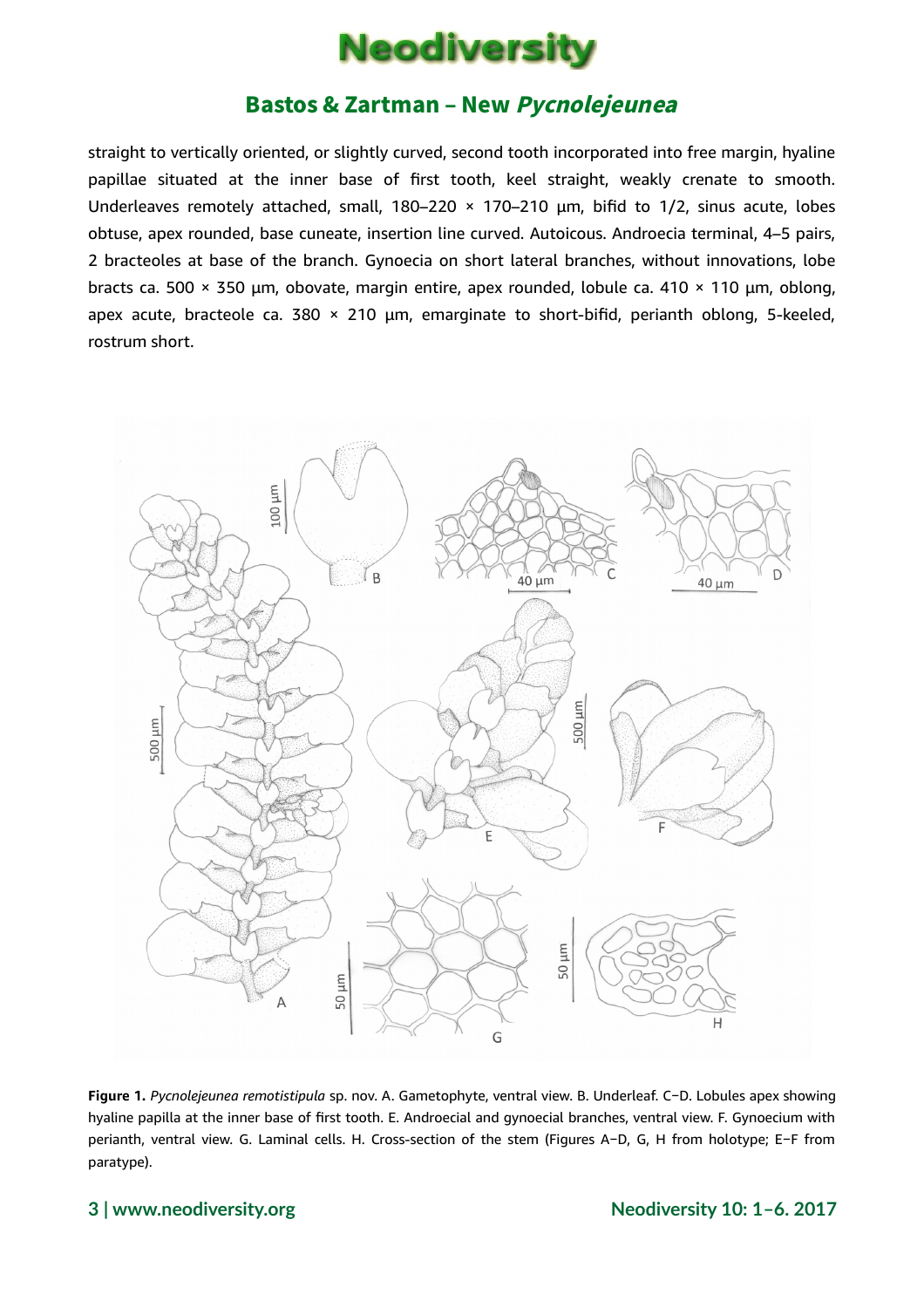

straight to vertically oriented, or slightly curved, second tooth incorporated into free margin, hyaline papillae situated at the inner base of first tooth, keel straight, weakly crenate to smooth. Underleaves remotely attached, small,  $180-220 \times 170-210$  µm, bifid to  $1/2$ , sinus acute, lobes obtuse, apex rounded, base cuneate, insertion line curved. Autoicous. Androecia terminal, 4–5 pairs, 2 bracteoles at base of the branch. Gynoecia on short lateral branches, without innovations, lobe bracts ca. 500 × 350 µm, obovate, margin entire, apex rounded, lobule ca. 410 × 110 µm, oblong, apex acute, bracteole ca. 380  $\times$  210  $\mu$ m, emarginate to short-bifid, perianth oblong, 5-keeled, rostrum short.



**Figure 1.** *Pycnolejeunea remotistipula* sp. nov. A. Gametophyte, ventral view. B. Underleaf. C−D. Lobules apex showing hyaline papilla at the inner base of first tooth. E. Androecial and gynoecial branches, ventral view. F. Gynoecium with perianth, ventral view. G. Laminal cells. H. Cross-section of the stem (Figures A−D, G, H from holotype; E−F from paratype).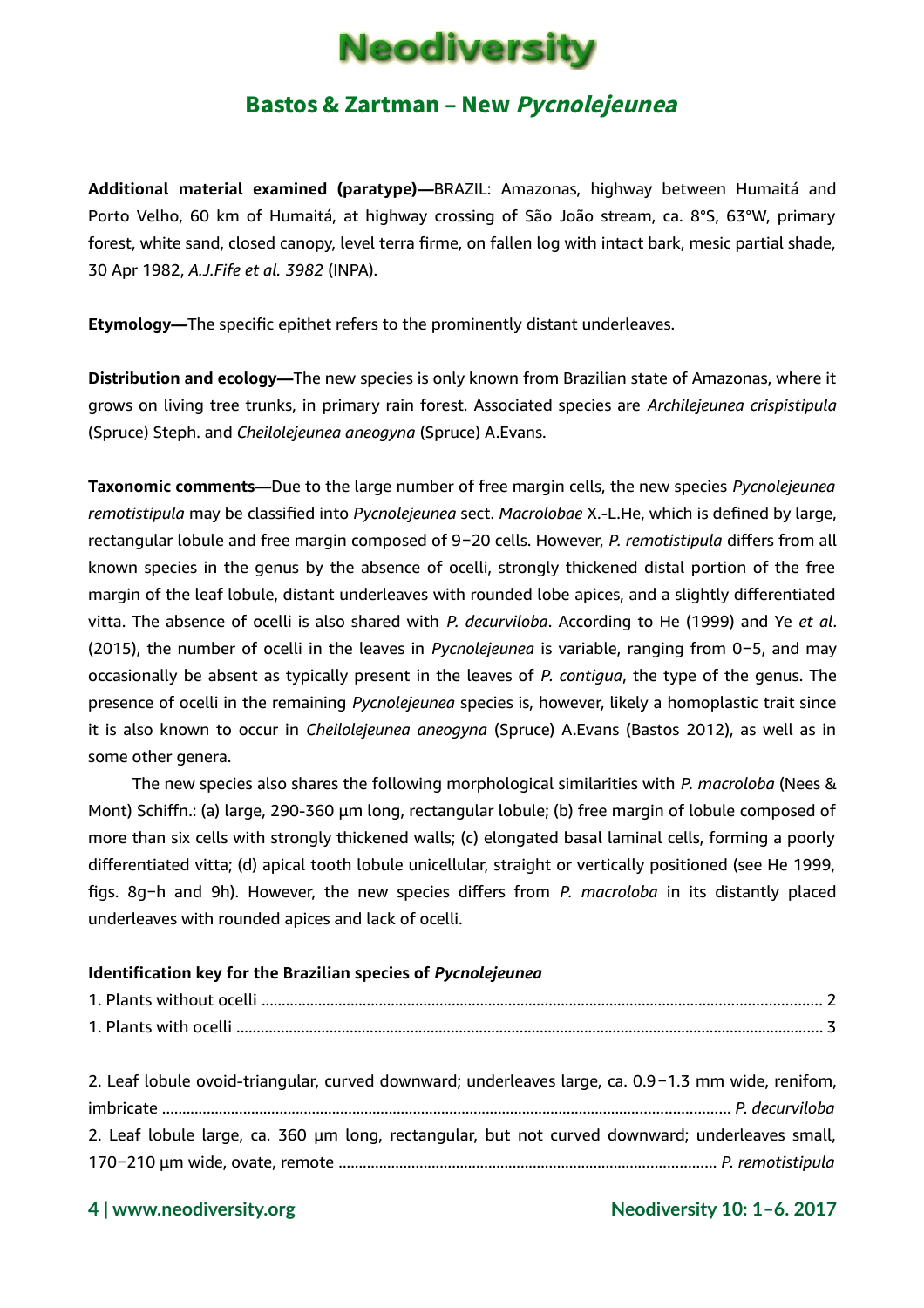

**Additional material examined (paratype)***—*BRAZIL: Amazonas, highway between Humaitá and Porto Velho, 60 km of Humaitá, at highway crossing of São João stream, ca. 8°S, 63°W, primary forest, white sand, closed canopy, level terra firme, on fallen log with intact bark, mesic partial shade, 30 Apr 1982, *A.J.Fife et al. 3982* (INPA).

**Etymology***—*The specific epithet refers to the prominently distant underleaves.

**Distribution and ecology***—*The new species is only known from Brazilian state of Amazonas, where it grows on living tree trunks, in primary rain forest. Associated species are *Archilejeunea crispistipula* (Spruce) Steph. and *Cheilolejeunea aneogyna* (Spruce) A.Evans.

**Taxonomic comments***—*Due to the large number of free margin cells, the new species *Pycnolejeunea remotistipula* may be classified into *Pycnolejeunea* sect. *Macrolobae* X.-L.He, which is defined by large, rectangular lobule and free margin composed of 9−20 cells. However, *P. remotistipula* differs from all known species in the genus by the absence of ocelli, strongly thickened distal portion of the free margin of the leaf lobule, distant underleaves with rounded lobe apices, and a slightly differentiated vitta. The absence of ocelli is also shared with *P. decurviloba*. According to He (1999) and Ye *et al*. (2015), the number of ocelli in the leaves in *Pycnolejeunea* is variable, ranging from 0−5, and may occasionally be absent as typically present in the leaves of *P. contigua*, the type of the genus. The presence of ocelli in the remaining *Pycnolejeunea* species is, however, likely a homoplastic trait since it is also known to occur in *Cheilolejeunea aneogyna* (Spruce) A.Evans (Bastos 2012), as well as in some other genera.

The new species also shares the following morphological similarities with *P. macroloba* (Nees & Mont) Schiffn.: (a) large, 290-360 µm long, rectangular lobule; (b) free margin of lobule composed of more than six cells with strongly thickened walls; (c) elongated basal laminal cells, forming a poorly differentiated vitta; (d) apical tooth lobule unicellular, straight or vertically positioned (see He 1999, figs. 8g−h and 9h). However, the new species differs from *P. macroloba* in its distantly placed underleaves with rounded apices and lack of ocelli.

#### **Identification key for the Brazilian species of** *Pycnolejeunea*

| 2. Leaf lobule ovoid-triangular, curved downward; underleaves large, ca. 0.9-1.3 mm wide, renifom, |  |
|----------------------------------------------------------------------------------------------------|--|
|                                                                                                    |  |
| 2. Leaf lobule large, ca. 360 µm long, rectangular, but not curved downward; underleaves small,    |  |
|                                                                                                    |  |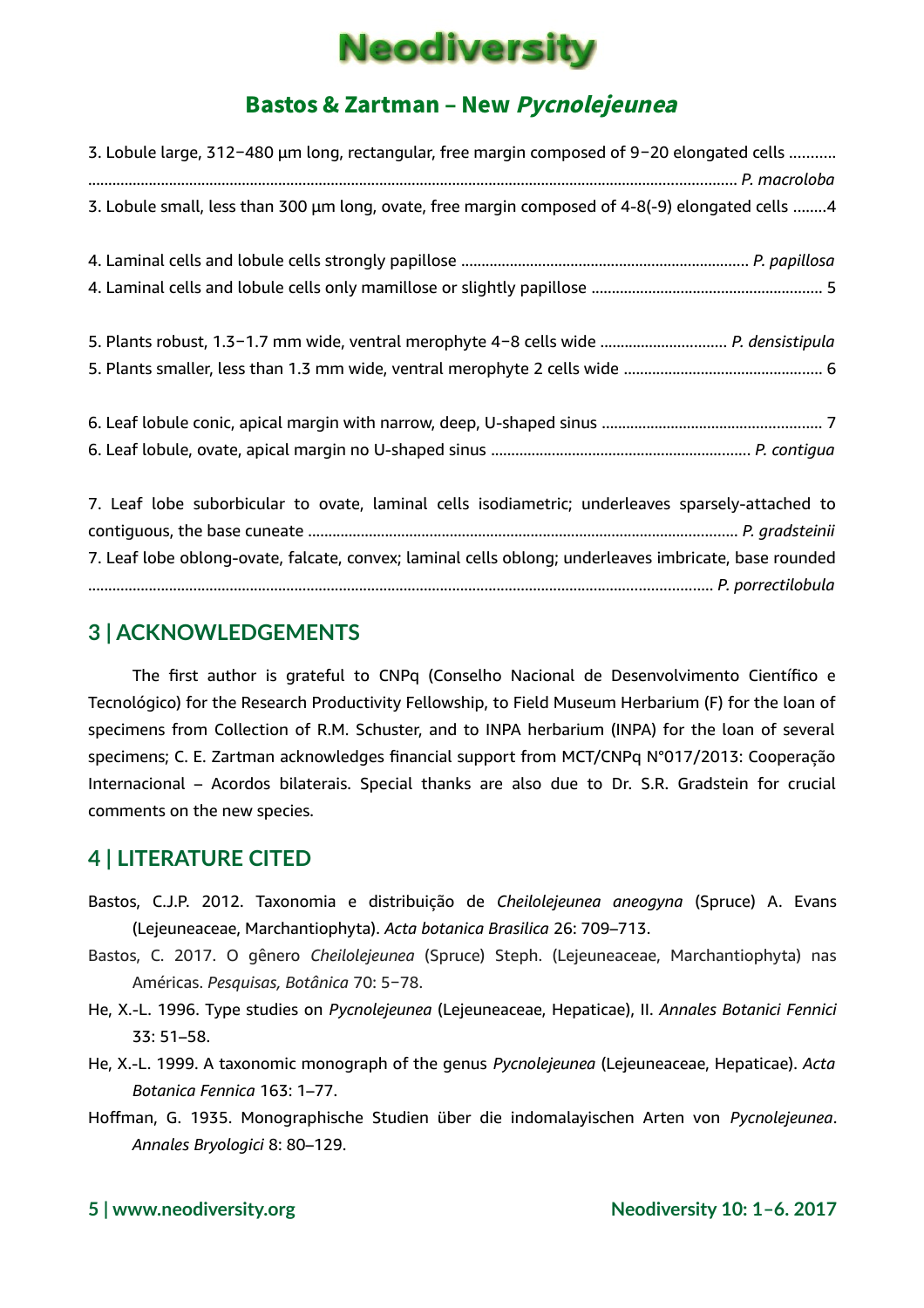# **Neodiversity**

# Bastos & Zartman – New Pycnolejeunea

| 3. Lobule large, 312-480 μm long, rectangular, free margin composed of 9-20 elongated cells           |  |
|-------------------------------------------------------------------------------------------------------|--|
|                                                                                                       |  |
| 3. Lobule small, less than 300 µm long, ovate, free margin composed of 4-8(-9) elongated cells 4      |  |
|                                                                                                       |  |
|                                                                                                       |  |
|                                                                                                       |  |
|                                                                                                       |  |
| 5. Plants robust, 1.3-1.7 mm wide, ventral merophyte 4-8 cells wide  P. densistipula                  |  |
|                                                                                                       |  |
|                                                                                                       |  |
|                                                                                                       |  |
|                                                                                                       |  |
|                                                                                                       |  |
| 7. Leaf lobe suborbicular to ovate, laminal cells isodiametric; underleaves sparsely-attached to      |  |
|                                                                                                       |  |
| 7. Leaf lobe oblong-ovate, falcate, convex; laminal cells oblong; underleaves imbricate, base rounded |  |
|                                                                                                       |  |

# **3 | ACKNOWLEDGEMENTS**

The first author is grateful to CNPq (Conselho Nacional de Desenvolvimento Científico e Tecnológico) for the Research Productivity Fellowship, to Field Museum Herbarium (F) for the loan of specimens from Collection of R.M. Schuster, and to INPA herbarium (INPA) for the loan of several specimens; C. E. Zartman acknowledges financial support from MCT/CNPq N°017/2013: Cooperação Internacional – Acordos bilaterais. Special thanks are also due to Dr. S.R. Gradstein for crucial comments on the new species.

# **4 | LITERATURE CITED**

- Bastos, C.J.P. 2012. Taxonomia e distribuição de *Cheilolejeunea aneogyna* (Spruce) A. Evans (Lejeuneaceae, Marchantiophyta). *Acta botanica Brasilica* 26: 709–713.
- Bastos, C. 2017. O gênero *Cheilolejeunea* (Spruce) Steph. (Lejeuneaceae, Marchantiophyta) nas Américas. *Pesquisas, Botânica* 70: 5−78.
- He, X.-L. 1996. Type studies on *Pycnolejeunea* (Lejeuneaceae, Hepaticae), II. *Annales Botanici Fennici* 33: 51–58.
- He, X.-L. 1999. A taxonomic monograph of the genus *Pycnolejeunea* (Lejeuneaceae, Hepaticae). *Acta Botanica Fennica* 163: 1–77.
- Hoffman, G. 1935. Monographische Studien über die indomalayischen Arten von *Pycnolejeunea*. *Annales Bryologici* 8: 80–129.